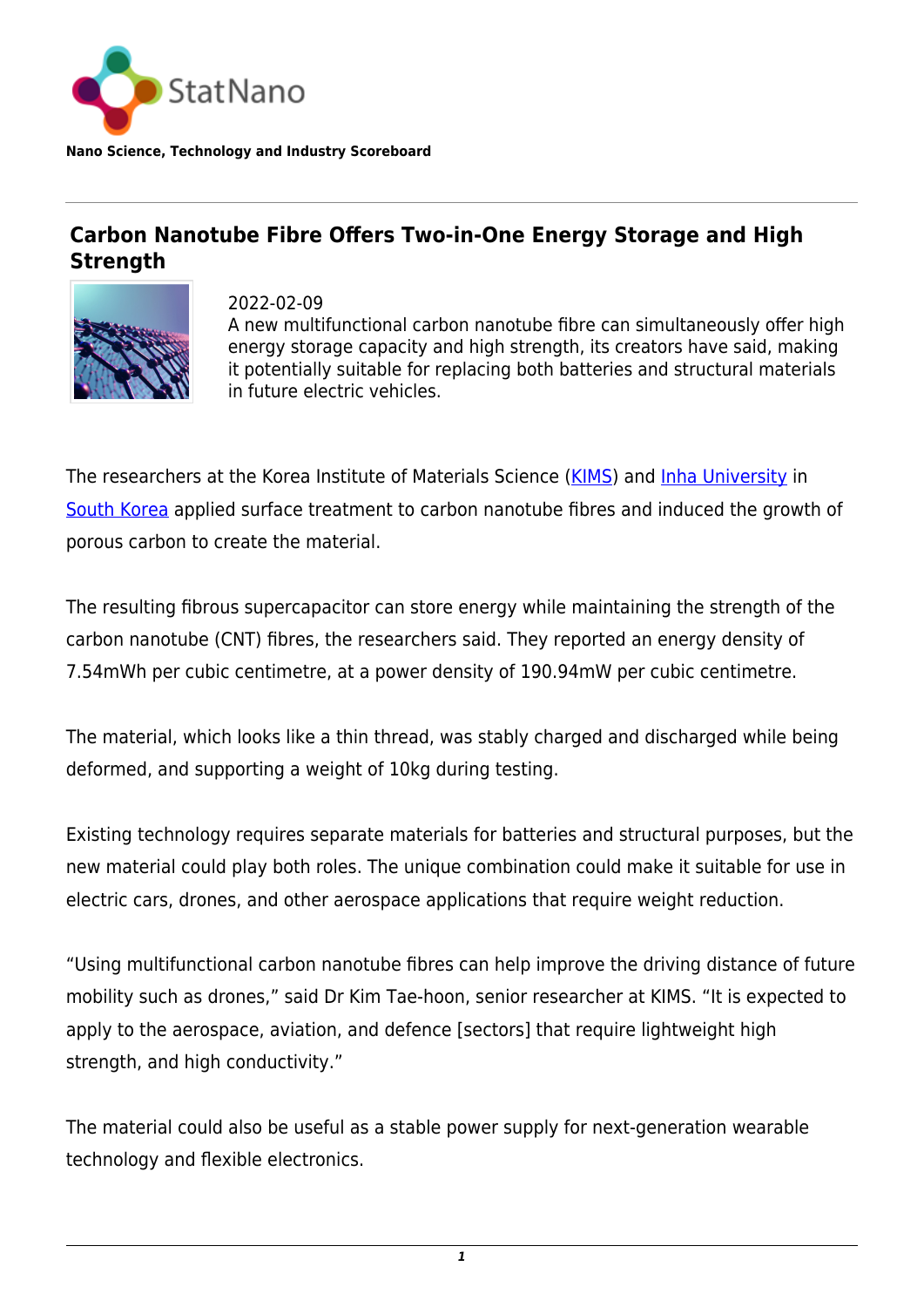

**Nano Science, Technology and Industry Scoreboard**

## **Carbon Nanotube Fibre Offers Two-in-One Energy Storage and High Strength**



2022-02-09 A new multifunctional carbon nanotube fibre can simultaneously offer high energy storage capacity and high strength, its creators have said, making it potentially suitable for replacing both batteries and structural materials in future electric vehicles.

The researchers at the Korea Institute of Materials Science [\(KIMS\)](https://statnano.com/org/Korea-Institute-of-Materials-Science) and [Inha University](https://statnano.com/org/Inha-University) in [South Korea](http://statnano.com/country/South_Korea) applied surface treatment to carbon nanotube fibres and induced the growth of porous carbon to create the material.

The resulting fibrous supercapacitor can store energy while maintaining the strength of the carbon nanotube (CNT) fibres, the researchers said. They reported an energy density of 7.54mWh per cubic centimetre, at a power density of 190.94mW per cubic centimetre.

The material, which looks like a thin thread, was stably charged and discharged while being deformed, and supporting a weight of 10kg during testing.

Existing technology requires separate materials for batteries and structural purposes, but the new material could play both roles. The unique combination could make it suitable for use in electric cars, drones, and other aerospace applications that require weight reduction.

"Using multifunctional carbon nanotube fibres can help improve the driving distance of future mobility such as drones," said Dr Kim Tae-hoon, senior researcher at KIMS. "It is expected to apply to the aerospace, aviation, and defence [sectors] that require lightweight high strength, and high conductivity."

The material could also be useful as a stable power supply for next-generation wearable technology and flexible electronics.

*<sup>1</sup>*